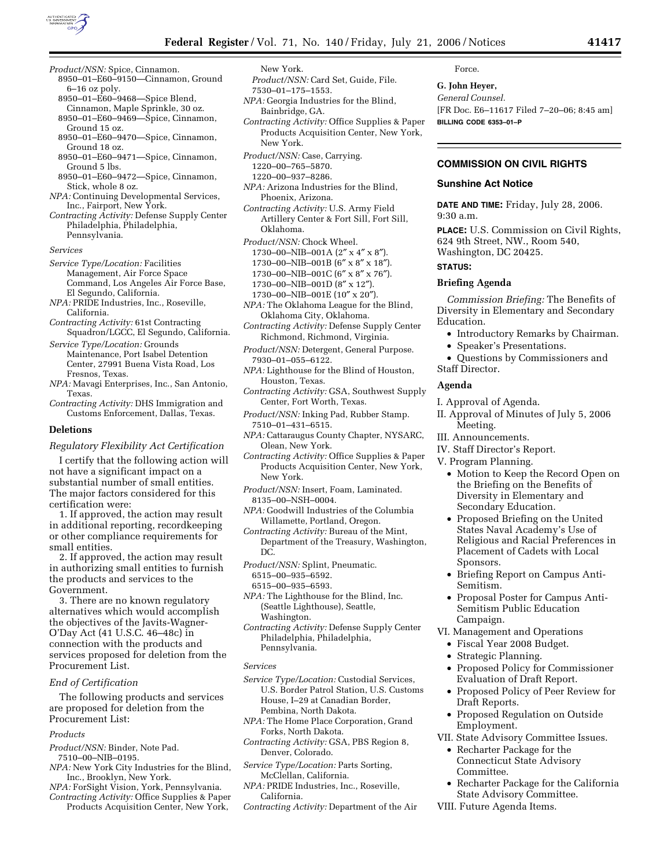

- *Product/NSN:* Spice, Cinnamon.
	- 8950–01–E60–9150—Cinnamon, Ground 6–16 oz poly.
	- 8950–01–E60–9468—Spice Blend, Cinnamon, Maple Sprinkle, 30 oz. 8950–01–E60–9469—Spice, Cinnamon,
	- Ground 15 oz. 8950–01–E60–9470—Spice, Cinnamon,
	- Ground 18 oz. 8950–01–E60–9471—Spice, Cinnamon,
- Ground 5 lbs. 8950–01–E60–9472—Spice, Cinnamon, Stick, whole 8 oz.
- *NPA:* Continuing Developmental Services, Inc., Fairport, New York.
- *Contracting Activity:* Defense Supply Center Philadelphia, Philadelphia, Pennsylvania.

*Services* 

- *Service Type/Location:* Facilities Management, Air Force Space Command, Los Angeles Air Force Base, El Segundo, California.
- *NPA:* PRIDE Industries, Inc., Roseville, California.
- *Contracting Activity:* 61st Contracting Squadron/LGCC, El Segundo, California.
- *Service Type/Location:* Grounds Maintenance, Port Isabel Detention Center, 27991 Buena Vista Road, Los Fresnos, Texas.
- *NPA:* Mavagi Enterprises, Inc., San Antonio, Texas.
- *Contracting Activity:* DHS Immigration and Customs Enforcement, Dallas, Texas.

### **Deletions**

*Regulatory Flexibility Act Certification* 

I certify that the following action will not have a significant impact on a substantial number of small entities. The major factors considered for this certification were:

1. If approved, the action may result in additional reporting, recordkeeping or other compliance requirements for small entities.

2. If approved, the action may result in authorizing small entities to furnish the products and services to the Government.

3. There are no known regulatory alternatives which would accomplish the objectives of the Javits-Wagner-O'Day Act (41 U.S.C. 46–48c) in connection with the products and services proposed for deletion from the Procurement List.

## *End of Certification*

The following products and services are proposed for deletion from the Procurement List:

- *Products*
- *Product/NSN:* Binder, Note Pad. 7510–00–NIB–0195.
- *NPA:* New York City Industries for the Blind,
- Inc., Brooklyn, New York.
- *NPA:* ForSight Vision, York, Pennsylvania. *Contracting Activity:* Office Supplies & Paper
- Products Acquisition Center, New York,

New York. *Product/NSN:* Card Set, Guide, File. 7530–01–175–1553.

- *NPA:* Georgia Industries for the Blind, Bainbridge, GA.
- *Contracting Activity:* Office Supplies & Paper Products Acquisition Center, New York, New York.
- *Product/NSN:* Case, Carrying. 1220–00–765–5870.
- 1220–00–937–8286.
- *NPA:* Arizona Industries for the Blind, Phoenix, Arizona.
- *Contracting Activity:* U.S. Army Field Artillery Center & Fort Sill, Fort Sill, Oklahoma.
- *Product/NSN:* Chock Wheel.
- 1730–00–NIB–001A (2″ x 4″ x 8″).
- 1730–00–NIB–001B (6″ x 8″ x 18″).
- 1730–00–NIB–001C (6″ x 8″ x 76″). 1730–00–NIB–001D (8″ x 12″).
- 1730–00–NIB–001E (10″ x 20″).
- *NPA:* The Oklahoma League for the Blind,
- Oklahoma City, Oklahoma. *Contracting Activity:* Defense Supply Center Richmond, Richmond, Virginia.
- *Product/NSN:* Detergent, General Purpose. 7930–01–055–6122.
- *NPA:* Lighthouse for the Blind of Houston, Houston, Texas.
- *Contracting Activity:* GSA, Southwest Supply Center, Fort Worth, Texas.
- *Product/NSN:* Inking Pad, Rubber Stamp. 7510–01–431–6515.
- *NPA:* Cattaraugus County Chapter, NYSARC, Olean, New York.
- *Contracting Activity:* Office Supplies & Paper Products Acquisition Center, New York, New York.
- *Product/NSN:* Insert, Foam, Laminated. 8135–00–NSH–0004.
- *NPA:* Goodwill Industries of the Columbia Willamette, Portland, Oregon.
- *Contracting Activity:* Bureau of the Mint, Department of the Treasury, Washington, DC.
- *Product/NSN:* Splint, Pneumatic. 6515–00–935–6592.
- 6515–00–935–6593.
- *NPA:* The Lighthouse for the Blind, Inc. (Seattle Lighthouse), Seattle, Washington.
- *Contracting Activity:* Defense Supply Center Philadelphia, Philadelphia, Pennsylvania.

### *Services*

- *Service Type/Location:* Custodial Services, U.S. Border Patrol Station, U.S. Customs House, I–29 at Canadian Border, Pembina, North Dakota.
- *NPA:* The Home Place Corporation, Grand Forks, North Dakota.
- *Contracting Activity:* GSA, PBS Region 8, Denver, Colorado.
- *Service Type/Location:* Parts Sorting, McClellan, California.
- *NPA:* PRIDE Industries, Inc., Roseville, California.
- *Contracting Activity:* Department of the Air

Force.

**G. John Heyer,**  *General Counsel.*  [FR Doc. E6–11617 Filed 7–20–06; 8:45 am] **BILLING CODE 6353–01–P** 

# **COMMISSION ON CIVIL RIGHTS**

### **Sunshine Act Notice**

**DATE AND TIME:** Friday, July 28, 2006. 9:30 a.m.

**PLACE:** U.S. Commission on Civil Rights, 624 9th Street, NW., Room 540, Washington, DC 20425.

## **STATUS:**

## **Briefing Agenda**

*Commission Briefing:* The Benefits of Diversity in Elementary and Secondary Education.

- Introductory Remarks by Chairman.
- Speaker's Presentations.
- Questions by Commissioners and Staff Director.

## **Agenda**

- I. Approval of Agenda.
- II. Approval of Minutes of July 5, 2006 Meeting.
- III. Announcements.
- IV. Staff Director's Report.
- V. Program Planning.
	- Motion to Keep the Record Open on the Briefing on the Benefits of Diversity in Elementary and Secondary Education.
	- Proposed Briefing on the United States Naval Academy's Use of Religious and Racial Preferences in Placement of Cadets with Local Sponsors.
	- Briefing Report on Campus Anti-Semitism.
	- Proposal Poster for Campus Anti-Semitism Public Education Campaign.
- VI. Management and Operations
- Fiscal Year 2008 Budget.
	- Strategic Planning.
	- Proposed Policy for Commissioner Evaluation of Draft Report.
	- Proposed Policy of Peer Review for Draft Reports.
	- Proposed Regulation on Outside Employment.
- VII. State Advisory Committee Issues.
	- Recharter Package for the Connecticut State Advisory Committee.
	- Recharter Package for the California State Advisory Committee.
- VIII. Future Agenda Items.